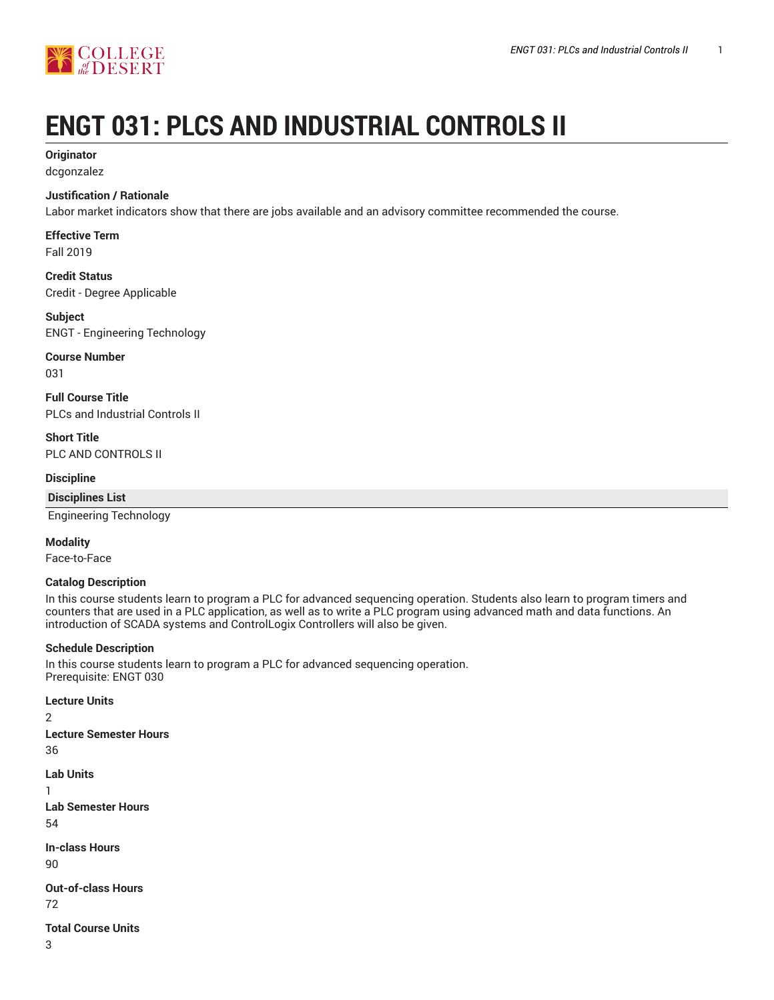

# **ENGT 031: PLCS AND INDUSTRIAL CONTROLS II**

## **Originator**

dcgonzalez

#### **Justification / Rationale**

Labor market indicators show that there are jobs available and an advisory committee recommended the course.

# **Effective Term**

Fall 2019

**Credit Status** Credit - Degree Applicable

#### **Subject** ENGT - Engineering Technology

# **Course Number**

031

**Full Course Title** PLCs and Industrial Controls II

**Short Title** PLC AND CONTROLS II

#### **Discipline**

#### **Disciplines List**

Engineering Technology

#### **Modality**

Face-to-Face

#### **Catalog Description**

In this course students learn to program a PLC for advanced sequencing operation. Students also learn to program timers and counters that are used in a PLC application, as well as to write a PLC program using advanced math and data functions. An introduction of SCADA systems and ControlLogix Controllers will also be given.

#### **Schedule Description**

In this course students learn to program a PLC for advanced sequencing operation. Prerequisite: ENGT 030

#### **Lecture Units**

2 **Lecture Semester Hours** 36 **Lab Units** 1 **Lab Semester Hours**

54

**In-class Hours**

90

**Out-of-class Hours**

72

**Total Course Units**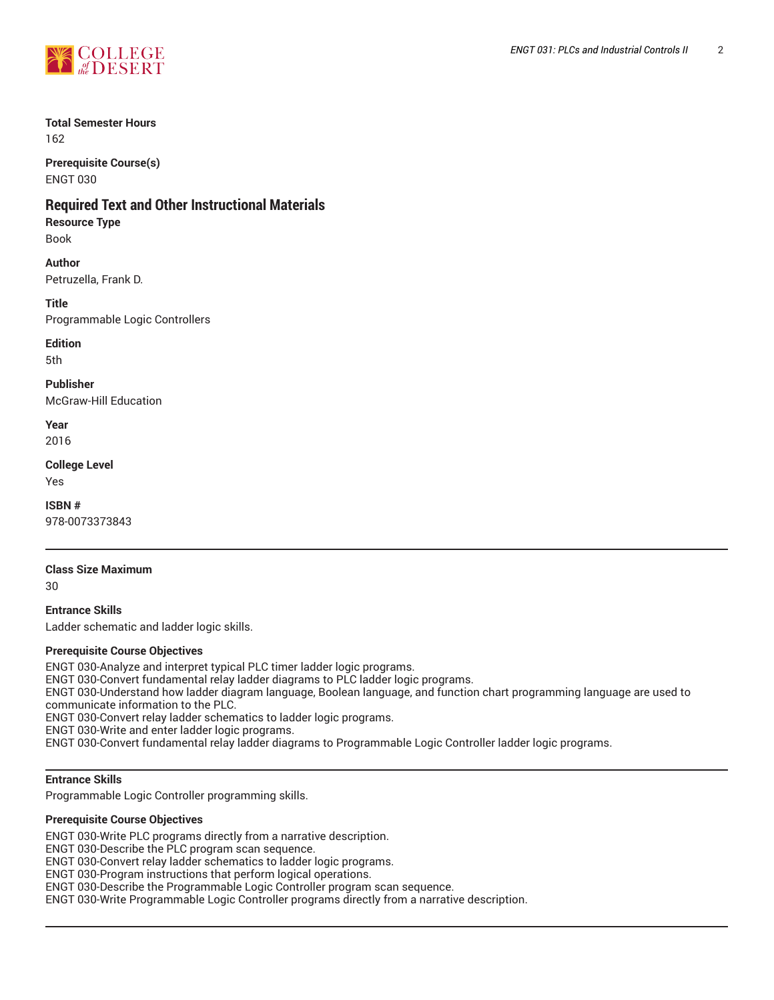

# **Total Semester Hours**

162

**Prerequisite Course(s)** ENGT 030

# **Required Text and Other Instructional Materials**

**Resource Type**

Book

## **Author**

Petruzella, Frank D.

**Title**

Programmable Logic Controllers

**Edition**

5th

**Publisher** McGraw-Hill Education

**Year** 2016

**College Level**

Yes

**ISBN #** 978-0073373843

# **Class Size Maximum**

30

**Entrance Skills** Ladder schematic and ladder logic skills.

#### **Prerequisite Course Objectives**

ENGT 030-Analyze and interpret typical PLC timer ladder logic programs. ENGT 030-Convert fundamental relay ladder diagrams to PLC ladder logic programs. ENGT 030-Understand how ladder diagram language, Boolean language, and function chart programming language are used to communicate information to the PLC. ENGT 030-Convert relay ladder schematics to ladder logic programs. ENGT 030-Write and enter ladder logic programs.

ENGT 030-Convert fundamental relay ladder diagrams to Programmable Logic Controller ladder logic programs.

## **Entrance Skills**

Programmable Logic Controller programming skills.

#### **Prerequisite Course Objectives**

ENGT 030-Write PLC programs directly from a narrative description.

ENGT 030-Describe the PLC program scan sequence.

ENGT 030-Convert relay ladder schematics to ladder logic programs.

ENGT 030-Program instructions that perform logical operations.

ENGT 030-Describe the Programmable Logic Controller program scan sequence.

ENGT 030-Write Programmable Logic Controller programs directly from a narrative description.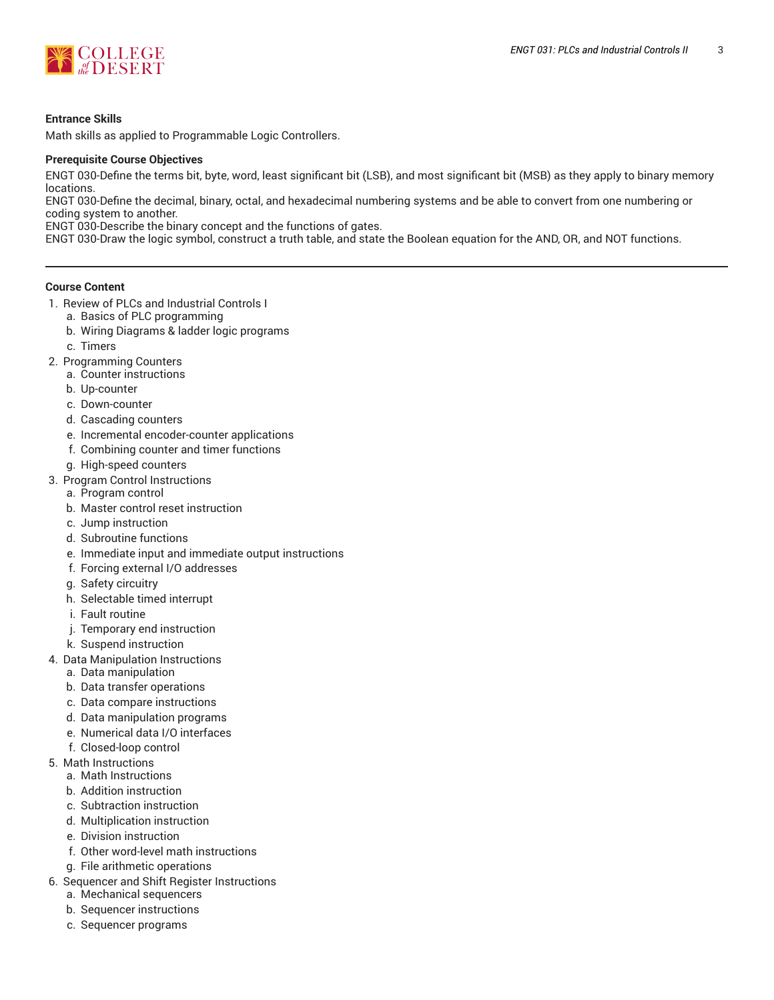

#### **Entrance Skills**

Math skills as applied to Programmable Logic Controllers.

#### **Prerequisite Course Objectives**

ENGT 030-Define the terms bit, byte, word, least significant bit (LSB), and most significant bit (MSB) as they apply to binary memory locations.

ENGT 030-Define the decimal, binary, octal, and hexadecimal numbering systems and be able to convert from one numbering or coding system to another.

ENGT 030-Describe the binary concept and the functions of gates.

ENGT 030-Draw the logic symbol, construct a truth table, and state the Boolean equation for the AND, OR, and NOT functions.

#### **Course Content**

- 1. Review of PLCs and Industrial Controls I
	- a. Basics of PLC programming
	- b. Wiring Diagrams & ladder logic programs
	- c. Timers
- 2. Programming Counters
	- a. Counter instructions
	- b. Up-counter
	- c. Down-counter
	- d. Cascading counters
	- e. Incremental encoder-counter applications
	- f. Combining counter and timer functions
	- g. High-speed counters
- 3. Program Control Instructions
- a. Program control
	- b. Master control reset instruction
	- c. Jump instruction
	- d. Subroutine functions
	- e. Immediate input and immediate output instructions
	- f. Forcing external I/O addresses
	- g. Safety circuitry
	- h. Selectable timed interrupt
	- i. Fault routine
	- j. Temporary end instruction
	- k. Suspend instruction
- 4. Data Manipulation Instructions
	- a. Data manipulation
	- b. Data transfer operations
	- c. Data compare instructions
	- d. Data manipulation programs
	- e. Numerical data I/O interfaces
	- f. Closed-loop control
- 5. Math Instructions
	- a. Math Instructions
	- b. Addition instruction
	- c. Subtraction instruction
	- d. Multiplication instruction
	- e. Division instruction
	- f. Other word-level math instructions
	- g. File arithmetic operations
- 6. Sequencer and Shift Register Instructions
	- a. Mechanical sequencers
	- b. Sequencer instructions
	- c. Sequencer programs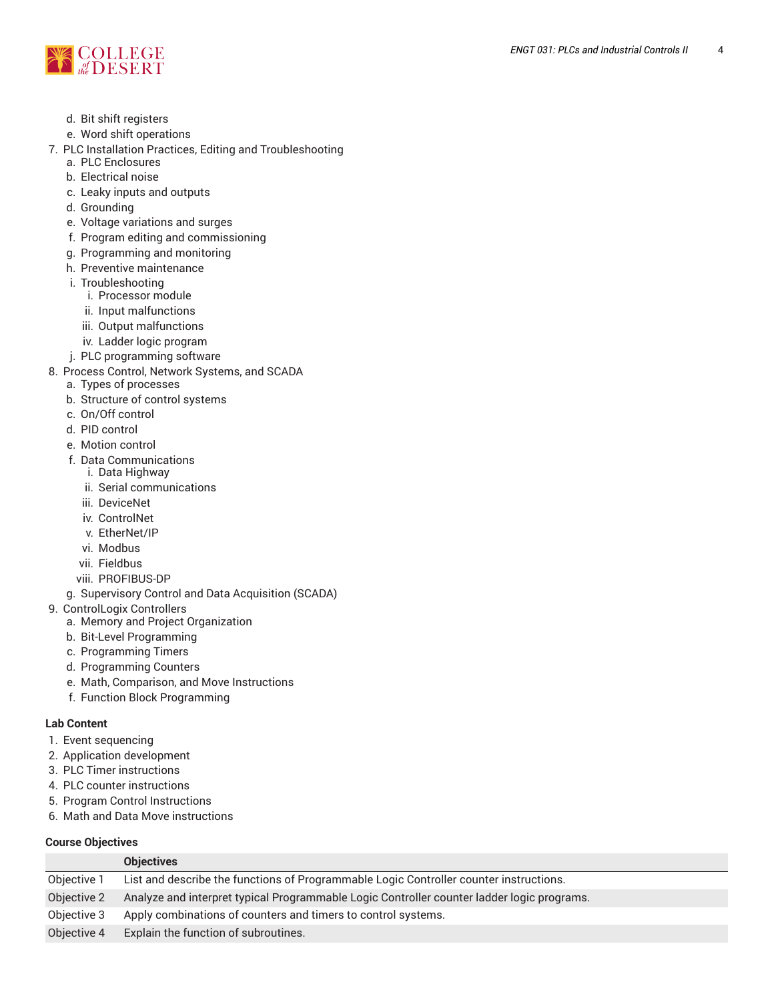

- d. Bit shift registers
- e. Word shift operations
- 7. PLC Installation Practices, Editing and Troubleshooting a. PLC Enclosures
	- b. Electrical noise
	- c. Leaky inputs and outputs
	- d. Grounding
	- e. Voltage variations and surges
	- f. Program editing and commissioning
	- g. Programming and monitoring
	- h. Preventive maintenance
	- i. Troubleshooting
		- i. Processor module
		- ii. Input malfunctions
		- iii. Output malfunctions
		- iv. Ladder logic program
	- j. PLC programming software
- 8. Process Control, Network Systems, and SCADA
- a. Types of processes
	- b. Structure of control systems
	- c. On/Off control
	- d. PID control
	- e. Motion control
	- f. Data Communications
		- i. Data Highway
		- ii. Serial communications
		- iii. DeviceNet
		- iv. ControlNet
		- v. EtherNet/IP
		- vi. Modbus
		- vii. Fieldbus
	- viii. PROFIBUS-DP
	- g. Supervisory Control and Data Acquisition (SCADA)
- 9. ControlLogix Controllers
	- a. Memory and Project Organization
	- b. Bit-Level Programming
	- c. Programming Timers
	- d. Programming Counters
	- e. Math, Comparison, and Move Instructions
	- f. Function Block Programming

#### **Lab Content**

- 1. Event sequencing
- 2. Application development
- 3. PLC Timer instructions
- 4. PLC counter instructions
- 5. Program Control Instructions
- 6. Math and Data Move instructions

#### **Course Objectives**

|             | <b>Objectives</b>                                                                          |
|-------------|--------------------------------------------------------------------------------------------|
| Objective 1 | List and describe the functions of Programmable Logic Controller counter instructions.     |
| Objective 2 | Analyze and interpret typical Programmable Logic Controller counter ladder logic programs. |
| Objective 3 | Apply combinations of counters and timers to control systems.                              |
| Objective 4 | Explain the function of subroutines.                                                       |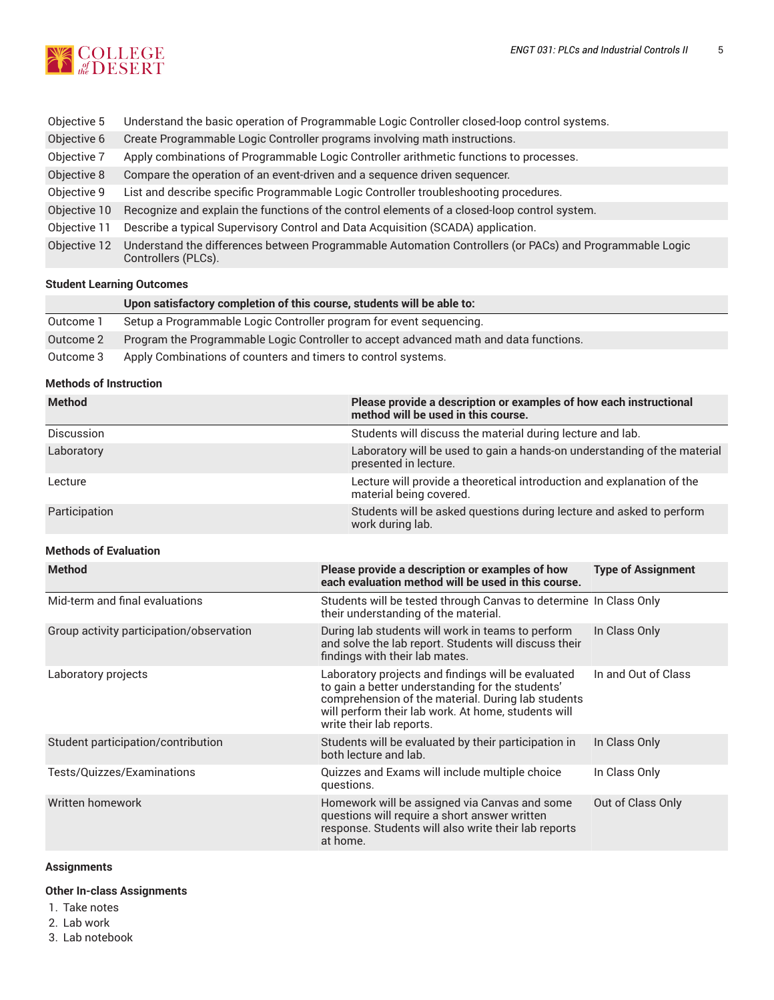

| Objective 5  | Understand the basic operation of Programmable Logic Controller closed-loop control systems.                                   |
|--------------|--------------------------------------------------------------------------------------------------------------------------------|
| Objective 6  | Create Programmable Logic Controller programs involving math instructions.                                                     |
| Objective 7  | Apply combinations of Programmable Logic Controller arithmetic functions to processes.                                         |
| Objective 8  | Compare the operation of an event-driven and a sequence driven sequencer.                                                      |
| Objective 9  | List and describe specific Programmable Logic Controller troubleshooting procedures.                                           |
| Objective 10 | Recognize and explain the functions of the control elements of a closed-loop control system.                                   |
| Objective 11 | Describe a typical Supervisory Control and Data Acquisition (SCADA) application.                                               |
| Objective 12 | Understand the differences between Programmable Automation Controllers (or PACs) and Programmable Logic<br>Controllers (PLCs). |

## **Student Learning Outcomes**

|           | Upon satisfactory completion of this course, students will be able to:                |
|-----------|---------------------------------------------------------------------------------------|
| Outcome 1 | Setup a Programmable Logic Controller program for event sequencing.                   |
| Outcome 2 | Program the Programmable Logic Controller to accept advanced math and data functions. |
| Outcome 3 | Apply Combinations of counters and timers to control systems.                         |

#### **Methods of Instruction**

| <b>Method</b>                            | Please provide a description or examples of how each instructional<br>method will be used in this course.                                                                                                                                       |                           |  |
|------------------------------------------|-------------------------------------------------------------------------------------------------------------------------------------------------------------------------------------------------------------------------------------------------|---------------------------|--|
| Discussion                               | Students will discuss the material during lecture and lab.                                                                                                                                                                                      |                           |  |
| Laboratory                               | Laboratory will be used to gain a hands-on understanding of the material<br>presented in lecture.                                                                                                                                               |                           |  |
| Lecture                                  | Lecture will provide a theoretical introduction and explanation of the<br>material being covered.                                                                                                                                               |                           |  |
| Participation                            | Students will be asked questions during lecture and asked to perform<br>work during lab.                                                                                                                                                        |                           |  |
| <b>Methods of Evaluation</b>             |                                                                                                                                                                                                                                                 |                           |  |
| <b>Method</b>                            | Please provide a description or examples of how<br>each evaluation method will be used in this course.                                                                                                                                          | <b>Type of Assignment</b> |  |
| Mid-term and final evaluations           | Students will be tested through Canvas to determine In Class Only<br>their understanding of the material.                                                                                                                                       |                           |  |
| Group activity participation/observation | During lab students will work in teams to perform<br>and solve the lab report. Students will discuss their<br>findings with their lab mates.                                                                                                    | In Class Only             |  |
| Laboratory projects                      | Laboratory projects and findings will be evaluated<br>to gain a better understanding for the students'<br>comprehension of the material. During lab students<br>will perform their lab work. At home, students will<br>write their lab reports. | In and Out of Class       |  |
| Student participation/contribution       | Students will be evaluated by their participation in<br>both lecture and lab.                                                                                                                                                                   | In Class Only             |  |
| Tests/Quizzes/Examinations               | Quizzes and Exams will include multiple choice<br>questions.                                                                                                                                                                                    | In Class Only             |  |
| Written homework                         | Homework will be assigned via Canvas and some<br>questions will require a short answer written<br>response. Students will also write their lab reports<br>at home.                                                                              | Out of Class Only         |  |

## **Assignments**

## **Other In-class Assignments**

- 1. Take notes
- 2. Lab work
- 3. Lab notebook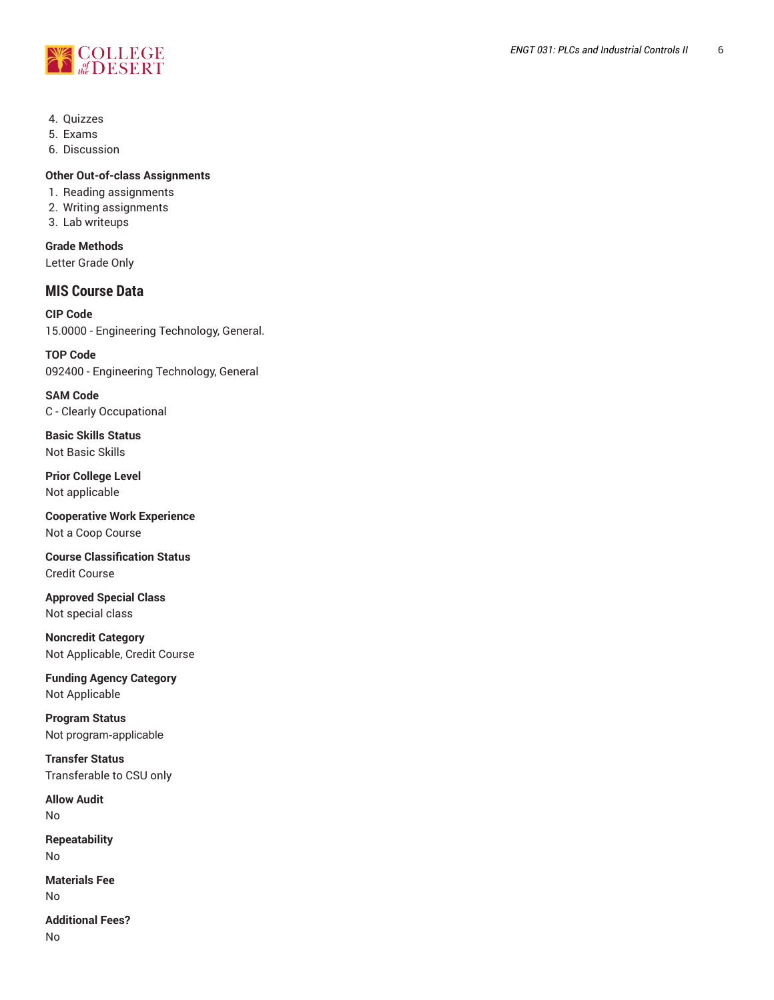

- 4. Quizzes
- 5. Exams
- 6. Discussion

### **Other Out-of-class Assignments**

- 1. Reading assignments
- 2. Writing assignments
- 3. Lab writeups

# **Grade Methods**

Letter Grade Only

# **MIS Course Data**

**CIP Code** 15.0000 - Engineering Technology, General.

**TOP Code** 092400 - Engineering Technology, General

**SAM Code** C - Clearly Occupational

**Basic Skills Status** Not Basic Skills

**Prior College Level** Not applicable

**Cooperative Work Experience** Not a Coop Course

**Course Classification Status** Credit Course

**Approved Special Class** Not special class

**Noncredit Category** Not Applicable, Credit Course

**Funding Agency Category** Not Applicable

**Program Status** Not program-applicable

**Transfer Status** Transferable to CSU only

**Allow Audit** No

**Repeatability** No

**Materials Fee** No

**Additional Fees?** No